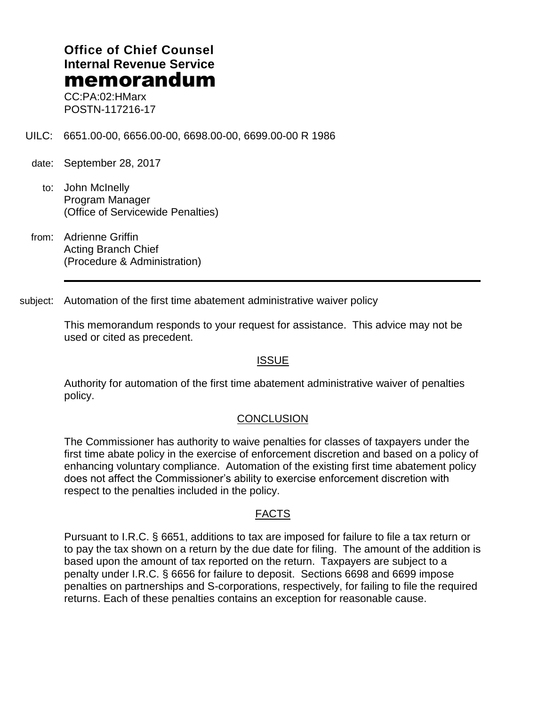# **Office of Chief Counsel Internal Revenue Service** memorandum

CC:PA:02:HMarx POSTN-117216-17

UILC: 6651.00-00, 6656.00-00, 6698.00-00, 6699.00-00 R 1986

- date: September 28, 2017
	- to: John McInelly Program Manager (Office of Servicewide Penalties)
- from: Adrienne Griffin Acting Branch Chief (Procedure & Administration)

subject: Automation of the first time abatement administrative waiver policy

This memorandum responds to your request for assistance. This advice may not be used or cited as precedent.

#### ISSUE

Authority for automation of the first time abatement administrative waiver of penalties policy.

#### **CONCLUSION**

The Commissioner has authority to waive penalties for classes of taxpayers under the first time abate policy in the exercise of enforcement discretion and based on a policy of enhancing voluntary compliance. Automation of the existing first time abatement policy does not affect the Commissioner's ability to exercise enforcement discretion with respect to the penalties included in the policy.

#### FACTS

Pursuant to I.R.C. § 6651, additions to tax are imposed for failure to file a tax return or to pay the tax shown on a return by the due date for filing. The amount of the addition is based upon the amount of tax reported on the return. Taxpayers are subject to a penalty under I.R.C. § 6656 for failure to deposit. Sections 6698 and 6699 impose penalties on partnerships and S-corporations, respectively, for failing to file the required returns. Each of these penalties contains an exception for reasonable cause.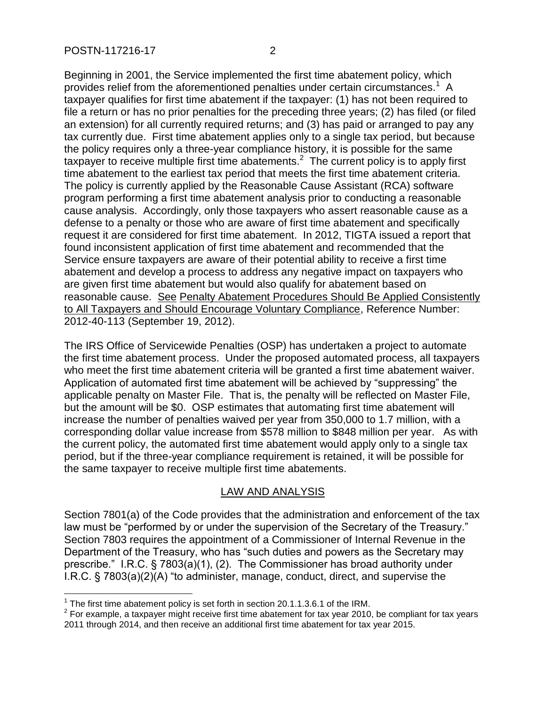Beginning in 2001, the Service implemented the first time abatement policy, which provides relief from the aforementioned penalties under certain circumstances.<sup>1</sup> A taxpayer qualifies for first time abatement if the taxpayer: (1) has not been required to file a return or has no prior penalties for the preceding three years; (2) has filed (or filed an extension) for all currently required returns; and (3) has paid or arranged to pay any tax currently due. First time abatement applies only to a single tax period, but because the policy requires only a three-year compliance history, it is possible for the same taxpayer to receive multiple first time abatements.<sup>2</sup> The current policy is to apply first time abatement to the earliest tax period that meets the first time abatement criteria. The policy is currently applied by the Reasonable Cause Assistant (RCA) software program performing a first time abatement analysis prior to conducting a reasonable cause analysis. Accordingly, only those taxpayers who assert reasonable cause as a defense to a penalty or those who are aware of first time abatement and specifically request it are considered for first time abatement. In 2012, TIGTA issued a report that found inconsistent application of first time abatement and recommended that the Service ensure taxpayers are aware of their potential ability to receive a first time abatement and develop a process to address any negative impact on taxpayers who are given first time abatement but would also qualify for abatement based on reasonable cause. See Penalty Abatement Procedures Should Be Applied Consistently to All Taxpayers and Should Encourage Voluntary Compliance, Reference Number: 2012-40-113 (September 19, 2012).

The IRS Office of Servicewide Penalties (OSP) has undertaken a project to automate the first time abatement process. Under the proposed automated process, all taxpayers who meet the first time abatement criteria will be granted a first time abatement waiver. Application of automated first time abatement will be achieved by "suppressing" the applicable penalty on Master File. That is, the penalty will be reflected on Master File, but the amount will be \$0. OSP estimates that automating first time abatement will increase the number of penalties waived per year from 350,000 to 1.7 million, with a corresponding dollar value increase from \$578 million to \$848 million per year. As with the current policy, the automated first time abatement would apply only to a single tax period, but if the three-year compliance requirement is retained, it will be possible for the same taxpayer to receive multiple first time abatements.

### LAW AND ANALYSIS

Section 7801(a) of the Code provides that the administration and enforcement of the tax law must be "performed by or under the supervision of the Secretary of the Treasury." Section 7803 requires the appointment of a Commissioner of Internal Revenue in the Department of the Treasury, who has "such duties and powers as the Secretary may prescribe." I.R.C. § 7803(a)(1), (2). The Commissioner has broad authority under I.R.C. § 7803(a)(2)(A) "to administer, manage, conduct, direct, and supervise the

 1 The first time abatement policy is set forth in section 20.1.1.3.6.1 of the IRM.

 $2$  For example, a taxpayer might receive first time abatement for tax year 2010, be compliant for tax years 2011 through 2014, and then receive an additional first time abatement for tax year 2015.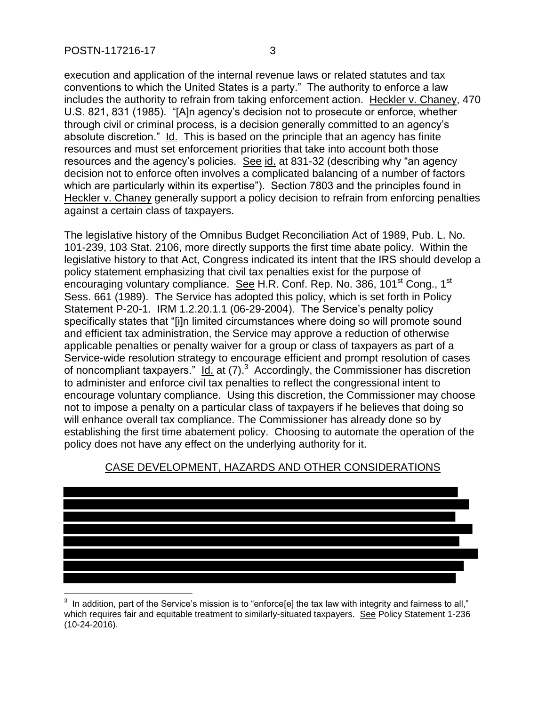execution and application of the internal revenue laws or related statutes and tax conventions to which the United States is a party." The authority to enforce a law includes the authority to refrain from taking enforcement action. Heckler v. Chaney, 470 U.S. 821, 831 (1985). "[A]n agency's decision not to prosecute or enforce, whether through civil or criminal process, is a decision generally committed to an agency's absolute discretion." Id. This is based on the principle that an agency has finite resources and must set enforcement priorities that take into account both those resources and the agency's policies. See id. at 831-32 (describing why "an agency decision not to enforce often involves a complicated balancing of a number of factors which are particularly within its expertise"). Section 7803 and the principles found in Heckler v. Chaney generally support a policy decision to refrain from enforcing penalties against a certain class of taxpayers.

The legislative history of the Omnibus Budget Reconciliation Act of 1989, Pub. L. No. 101-239, 103 Stat. 2106, more directly supports the first time abate policy. Within the legislative history to that Act, Congress indicated its intent that the IRS should develop a policy statement emphasizing that civil tax penalties exist for the purpose of encouraging voluntary compliance. See H.R. Conf. Rep. No. 386, 101<sup>st</sup> Cong., 1<sup>st</sup> Sess. 661 (1989). The Service has adopted this policy, which is set forth in Policy Statement P-20-1. IRM 1.2.20.1.1 (06-29-2004). The Service's penalty policy specifically states that "[i]n limited circumstances where doing so will promote sound and efficient tax administration, the Service may approve a reduction of otherwise applicable penalties or penalty waiver for a group or class of taxpayers as part of a Service-wide resolution strategy to encourage efficient and prompt resolution of cases of noncompliant taxpayers."  $Id.$  at (7).<sup>3</sup> Accordingly, the Commissioner has discretion to administer and enforce civil tax penalties to reflect the congressional intent to encourage voluntary compliance. Using this discretion, the Commissioner may choose not to impose a penalty on a particular class of taxpayers if he believes that doing so will enhance overall tax compliance. The Commissioner has already done so by establishing the first time abatement policy. Choosing to automate the operation of the policy does not have any effect on the underlying authority for it.



## CASE DEVELOPMENT, HAZARDS AND OTHER CONSIDERATIONS

<sup>-&</sup>lt;br>3 In addition, part of the Service's mission is to "enforce[e] the tax law with integrity and fairness to all," which requires fair and equitable treatment to similarly-situated taxpayers. See Policy Statement 1-236 (10-24-2016).